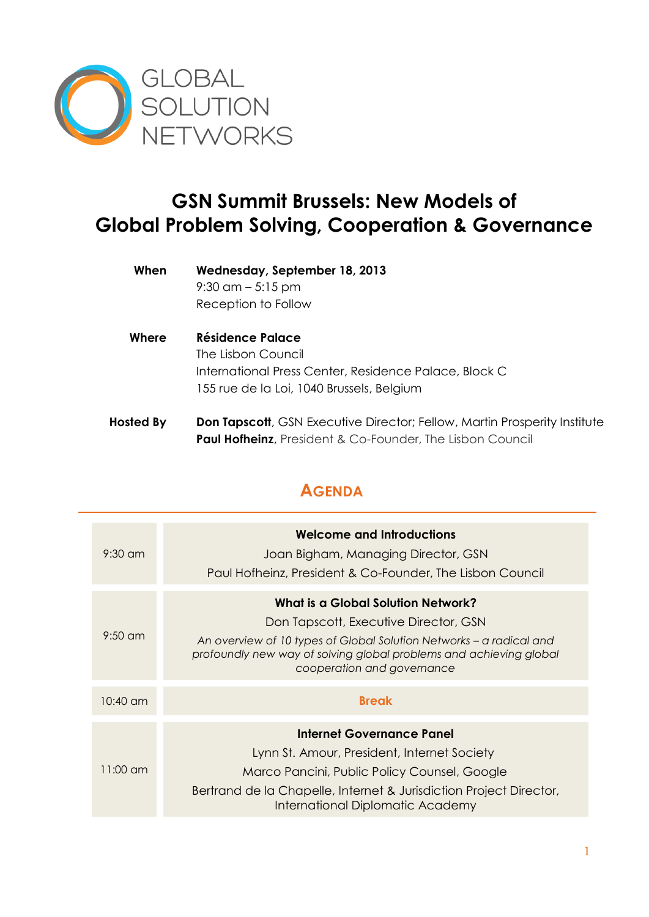

## **GSN Summit Brussels: New Models of Global Problem Solving, Cooperation & Governance**

- **When Wednesday, September 18, 2013** 9:30 am – 5:15 pm Reception to Follow
- **Where Résidence Palace** The Lisbon Council International Press Center, Residence Palace, Block C 155 rue de la Loi, 1040 Brussels, Belgium
- **Hosted By Don Tapscott**, GSN Executive Director; Fellow, Martin Prosperity Institute **Paul Hofheinz**, President & Co-Founder, The Lisbon Council

## **AGENDA**

| $9:30 \text{ cm}$  | <b>Welcome and Introductions</b><br>Joan Bigham, Managing Director, GSN<br>Paul Hofheinz, President & Co-Founder, The Lisbon Council                                                                                                                   |
|--------------------|--------------------------------------------------------------------------------------------------------------------------------------------------------------------------------------------------------------------------------------------------------|
| $9:50$ am          | What is a Global Solution Network?<br>Don Tapscott, Executive Director, GSN<br>An overview of 10 types of Global Solution Networks – a radical and<br>profoundly new way of solving global problems and achieving global<br>cooperation and governance |
| $10:40$ am         | <b>Break</b>                                                                                                                                                                                                                                           |
| $11:00 \text{ cm}$ | <b>Internet Governance Panel</b><br>Lynn St. Amour, President, Internet Society<br>Marco Pancini, Public Policy Counsel, Google<br>Bertrand de la Chapelle, Internet & Jurisdiction Project Director,<br>International Diplomatic Academy              |